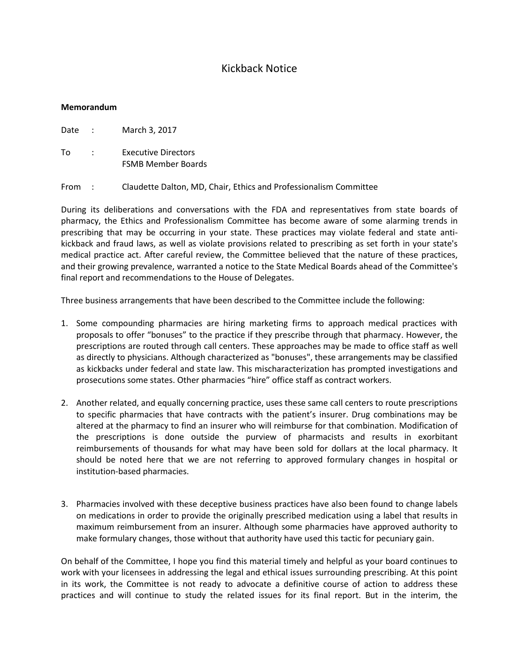## Kickback Notice

## **Memorandum**

Date : March 3, 2017

- To : Executive Directors FSMB Member Boards
- From : Claudette Dalton, MD, Chair, Ethics and Professionalism Committee

During its deliberations and conversations with the FDA and representatives from state boards of pharmacy, the Ethics and Professionalism Committee has become aware of some alarming trends in prescribing that may be occurring in your state. These practices may violate federal and state antikickback and fraud laws, as well as violate provisions related to prescribing as set forth in your state's medical practice act. After careful review, the Committee believed that the nature of these practices, and their growing prevalence, warranted a notice to the State Medical Boards ahead of the Committee's final report and recommendations to the House of Delegates.

Three business arrangements that have been described to the Committee include the following:

- 1. Some compounding pharmacies are hiring marketing firms to approach medical practices with proposals to offer "bonuses" to the practice if they prescribe through that pharmacy. However, the prescriptions are routed through call centers. These approaches may be made to office staff as well as directly to physicians. Although characterized as "bonuses", these arrangements may be classified as kickbacks under federal and state law. This mischaracterization has prompted investigations and prosecutions some states. Other pharmacies "hire" office staff as contract workers.
- 2. Another related, and equally concerning practice, uses these same call centers to route prescriptions to specific pharmacies that have contracts with the patient's insurer. Drug combinations may be altered at the pharmacy to find an insurer who will reimburse for that combination. Modification of the prescriptions is done outside the purview of pharmacists and results in exorbitant reimbursements of thousands for what may have been sold for dollars at the local pharmacy. It should be noted here that we are not referring to approved formulary changes in hospital or institution-based pharmacies.
- 3. Pharmacies involved with these deceptive business practices have also been found to change labels on medications in order to provide the originally prescribed medication using a label that results in maximum reimbursement from an insurer. Although some pharmacies have approved authority to make formulary changes, those without that authority have used this tactic for pecuniary gain.

On behalf of the Committee, I hope you find this material timely and helpful as your board continues to work with your licensees in addressing the legal and ethical issues surrounding prescribing. At this point in its work, the Committee is not ready to advocate a definitive course of action to address these practices and will continue to study the related issues for its final report. But in the interim, the